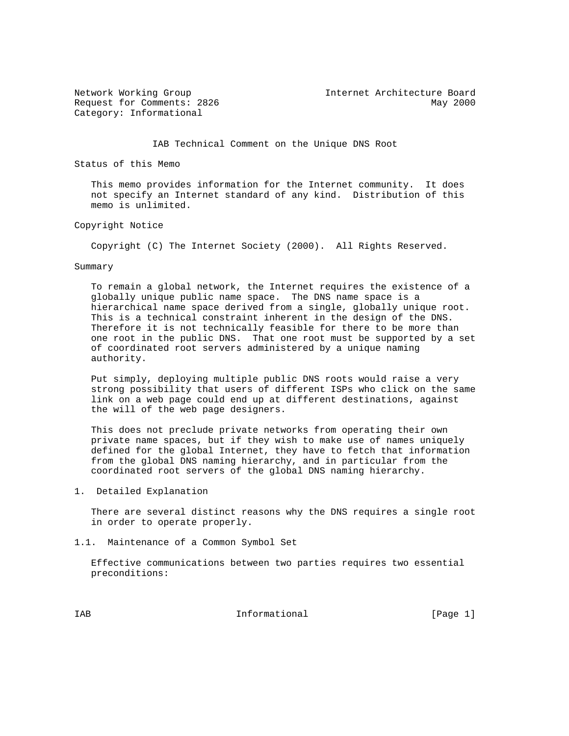Category: Informational

Network Working Group Internet Architecture Board Request for Comments: 2826 May 2000

IAB Technical Comment on the Unique DNS Root

Status of this Memo

 This memo provides information for the Internet community. It does not specify an Internet standard of any kind. Distribution of this memo is unlimited.

Copyright Notice

Copyright (C) The Internet Society (2000). All Rights Reserved.

#### Summary

 To remain a global network, the Internet requires the existence of a globally unique public name space. The DNS name space is a hierarchical name space derived from a single, globally unique root. This is a technical constraint inherent in the design of the DNS. Therefore it is not technically feasible for there to be more than one root in the public DNS. That one root must be supported by a set of coordinated root servers administered by a unique naming authority.

 Put simply, deploying multiple public DNS roots would raise a very strong possibility that users of different ISPs who click on the same link on a web page could end up at different destinations, against the will of the web page designers.

 This does not preclude private networks from operating their own private name spaces, but if they wish to make use of names uniquely defined for the global Internet, they have to fetch that information from the global DNS naming hierarchy, and in particular from the coordinated root servers of the global DNS naming hierarchy.

1. Detailed Explanation

 There are several distinct reasons why the DNS requires a single root in order to operate properly.

1.1. Maintenance of a Common Symbol Set

 Effective communications between two parties requires two essential preconditions:

IAB 188 CHA Informational The Informational (Page 1)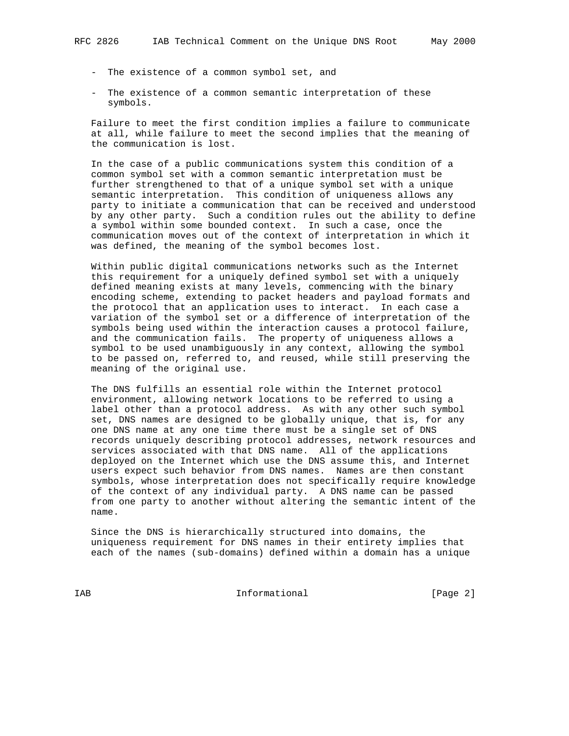- The existence of a common symbol set, and
- The existence of a common semantic interpretation of these symbols.

 Failure to meet the first condition implies a failure to communicate at all, while failure to meet the second implies that the meaning of the communication is lost.

 In the case of a public communications system this condition of a common symbol set with a common semantic interpretation must be further strengthened to that of a unique symbol set with a unique semantic interpretation. This condition of uniqueness allows any party to initiate a communication that can be received and understood by any other party. Such a condition rules out the ability to define a symbol within some bounded context. In such a case, once the communication moves out of the context of interpretation in which it was defined, the meaning of the symbol becomes lost.

 Within public digital communications networks such as the Internet this requirement for a uniquely defined symbol set with a uniquely defined meaning exists at many levels, commencing with the binary encoding scheme, extending to packet headers and payload formats and the protocol that an application uses to interact. In each case a variation of the symbol set or a difference of interpretation of the symbols being used within the interaction causes a protocol failure, and the communication fails. The property of uniqueness allows a symbol to be used unambiguously in any context, allowing the symbol to be passed on, referred to, and reused, while still preserving the meaning of the original use.

 The DNS fulfills an essential role within the Internet protocol environment, allowing network locations to be referred to using a label other than a protocol address. As with any other such symbol set, DNS names are designed to be globally unique, that is, for any one DNS name at any one time there must be a single set of DNS records uniquely describing protocol addresses, network resources and services associated with that DNS name. All of the applications deployed on the Internet which use the DNS assume this, and Internet users expect such behavior from DNS names. Names are then constant symbols, whose interpretation does not specifically require knowledge of the context of any individual party. A DNS name can be passed from one party to another without altering the semantic intent of the name.

 Since the DNS is hierarchically structured into domains, the uniqueness requirement for DNS names in their entirety implies that each of the names (sub-domains) defined within a domain has a unique

IAB Informational [Page 2]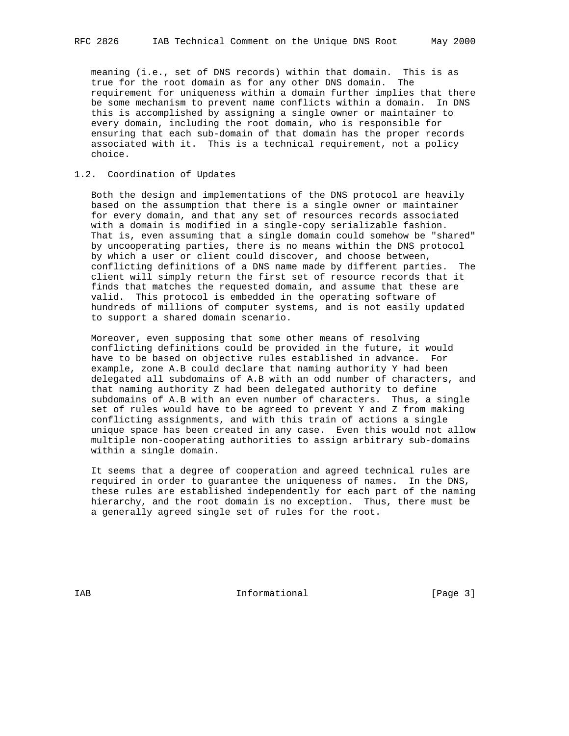meaning (i.e., set of DNS records) within that domain. This is as true for the root domain as for any other DNS domain. The requirement for uniqueness within a domain further implies that there be some mechanism to prevent name conflicts within a domain. In DNS this is accomplished by assigning a single owner or maintainer to every domain, including the root domain, who is responsible for ensuring that each sub-domain of that domain has the proper records associated with it. This is a technical requirement, not a policy choice.

## 1.2. Coordination of Updates

 Both the design and implementations of the DNS protocol are heavily based on the assumption that there is a single owner or maintainer for every domain, and that any set of resources records associated with a domain is modified in a single-copy serializable fashion. That is, even assuming that a single domain could somehow be "shared" by uncooperating parties, there is no means within the DNS protocol by which a user or client could discover, and choose between, conflicting definitions of a DNS name made by different parties. The client will simply return the first set of resource records that it finds that matches the requested domain, and assume that these are valid. This protocol is embedded in the operating software of hundreds of millions of computer systems, and is not easily updated to support a shared domain scenario.

 Moreover, even supposing that some other means of resolving conflicting definitions could be provided in the future, it would have to be based on objective rules established in advance. For example, zone A.B could declare that naming authority Y had been delegated all subdomains of A.B with an odd number of characters, and that naming authority Z had been delegated authority to define subdomains of A.B with an even number of characters. Thus, a single set of rules would have to be agreed to prevent Y and Z from making conflicting assignments, and with this train of actions a single unique space has been created in any case. Even this would not allow multiple non-cooperating authorities to assign arbitrary sub-domains within a single domain.

 It seems that a degree of cooperation and agreed technical rules are required in order to guarantee the uniqueness of names. In the DNS, these rules are established independently for each part of the naming hierarchy, and the root domain is no exception. Thus, there must be a generally agreed single set of rules for the root.

IAB 188 and 100 mm informational the state of  $[Page 3]$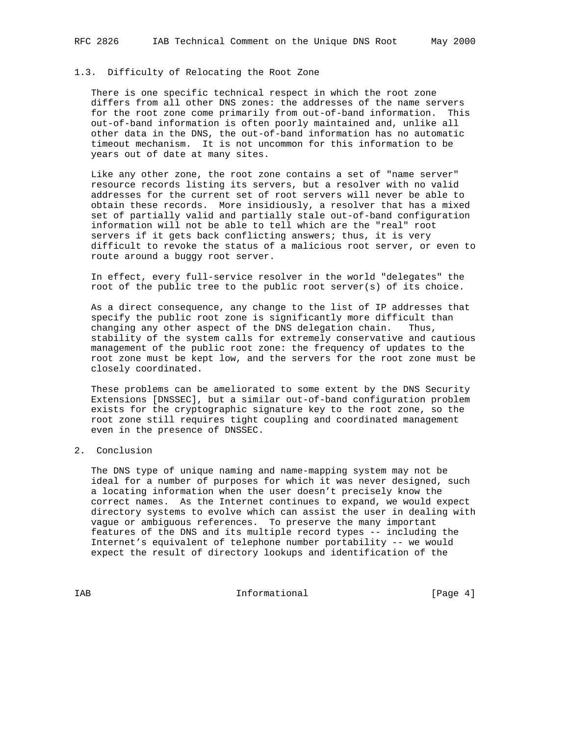# 1.3. Difficulty of Relocating the Root Zone

 There is one specific technical respect in which the root zone differs from all other DNS zones: the addresses of the name servers for the root zone come primarily from out-of-band information. This out-of-band information is often poorly maintained and, unlike all other data in the DNS, the out-of-band information has no automatic timeout mechanism. It is not uncommon for this information to be years out of date at many sites.

 Like any other zone, the root zone contains a set of "name server" resource records listing its servers, but a resolver with no valid addresses for the current set of root servers will never be able to obtain these records. More insidiously, a resolver that has a mixed set of partially valid and partially stale out-of-band configuration information will not be able to tell which are the "real" root servers if it gets back conflicting answers; thus, it is very difficult to revoke the status of a malicious root server, or even to route around a buggy root server.

 In effect, every full-service resolver in the world "delegates" the root of the public tree to the public root server(s) of its choice.

 As a direct consequence, any change to the list of IP addresses that specify the public root zone is significantly more difficult than changing any other aspect of the DNS delegation chain. Thus, stability of the system calls for extremely conservative and cautious management of the public root zone: the frequency of updates to the root zone must be kept low, and the servers for the root zone must be closely coordinated.

 These problems can be ameliorated to some extent by the DNS Security Extensions [DNSSEC], but a similar out-of-band configuration problem exists for the cryptographic signature key to the root zone, so the root zone still requires tight coupling and coordinated management even in the presence of DNSSEC.

## 2. Conclusion

 The DNS type of unique naming and name-mapping system may not be ideal for a number of purposes for which it was never designed, such a locating information when the user doesn't precisely know the correct names. As the Internet continues to expand, we would expect directory systems to evolve which can assist the user in dealing with vague or ambiguous references. To preserve the many important features of the DNS and its multiple record types -- including the Internet's equivalent of telephone number portability -- we would expect the result of directory lookups and identification of the

IAB Informational [Page 4]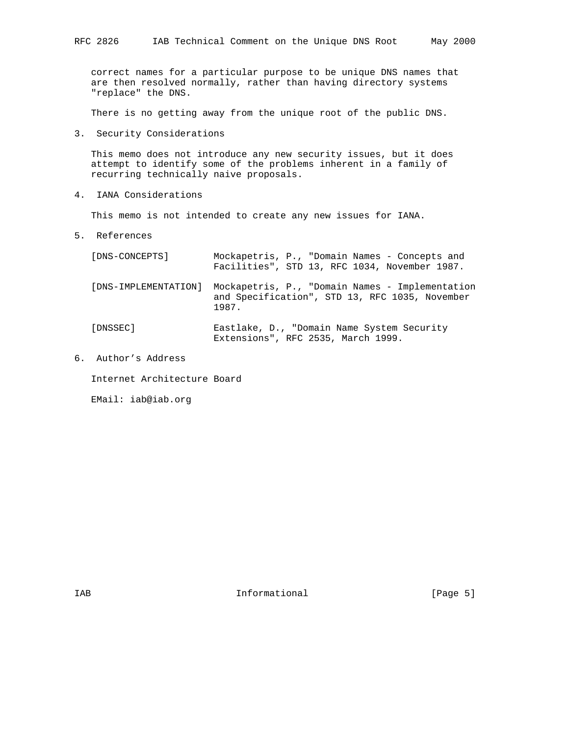correct names for a particular purpose to be unique DNS names that are then resolved normally, rather than having directory systems "replace" the DNS.

There is no getting away from the unique root of the public DNS.

3. Security Considerations

 This memo does not introduce any new security issues, but it does attempt to identify some of the problems inherent in a family of recurring technically naive proposals.

4. IANA Considerations

This memo is not intended to create any new issues for IANA.

5. References

| [DNS-CONCEPTS]       | Mockapetris, P., "Domain Names - Concepts and<br>Facilities", STD 13, RFC 1034, November 1987.             |
|----------------------|------------------------------------------------------------------------------------------------------------|
| [DNS-IMPLEMENTATION] | Mockapetris, P., "Domain Names - Implementation<br>and Specification", STD 13, RFC 1035, November<br>1987. |
| [DNSSEC]             | Eastlake, D., "Domain Name System Security<br>Extensions", RFC 2535, March 1999.                           |

6. Author's Address

Internet Architecture Board

EMail: iab@iab.org

IAB 188 and 100 mm informational the state of  $\left[$  Page 5 $\right]$